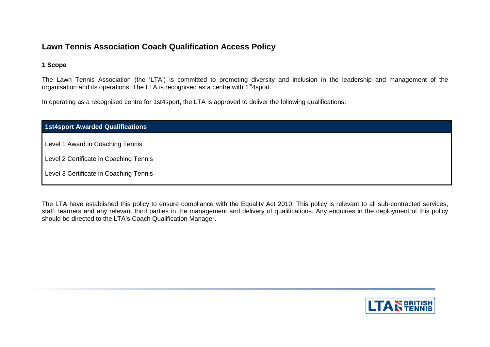## **Lawn Tennis Association Coach Qualification Access Policy**

## **1 Scope**

The Lawn Tennis Association (the 'LTA') is committed to promoting diversity and inclusion in the leadership and management of the organisation and its operations. The LTA is recognised as a centre with 1<sup>st</sup>4sport.

In operating as a recognised centre for 1st4sport, the LTA is approved to deliver the following qualifications:

| 1st4sport Awarded Qualifications       |  |  |
|----------------------------------------|--|--|
| Level 1 Award in Coaching Tennis       |  |  |
|                                        |  |  |
| Level 2 Certificate in Coaching Tennis |  |  |
| Level 3 Certificate in Coaching Tennis |  |  |

The LTA have established this policy to ensure compliance with the Equality Act 2010. This policy is relevant to all sub-contracted services, staff, learners and any relevant third parties in the management and delivery of qualifications. Any enquiries in the deployment of this policy should be directed to the LTA's Coach Qualification Manager.

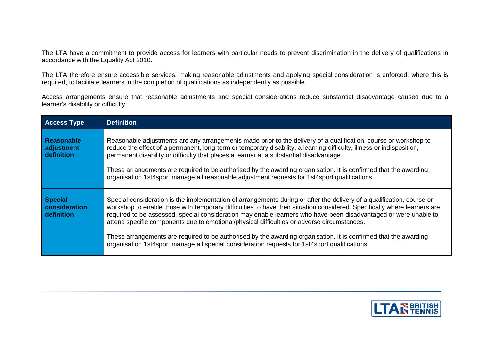The LTA have a commitment to provide access for learners with particular needs to prevent discrimination in the delivery of qualifications in accordance with the Equality Act 2010.

The LTA therefore ensure accessible services, making reasonable adjustments and applying special consideration is enforced, where this is required, to facilitate learners in the completion of qualifications as independently as possible.

Access arrangements ensure that reasonable adjustments and special considerations reduce substantial disadvantage caused due to a learner's disability or difficulty.

| <b>Access Type</b>                            | <b>Definition</b>                                                                                                                                                                                                                                                                                                                                                                                                                                                                                                                                                                                                                                                                           |  |
|-----------------------------------------------|---------------------------------------------------------------------------------------------------------------------------------------------------------------------------------------------------------------------------------------------------------------------------------------------------------------------------------------------------------------------------------------------------------------------------------------------------------------------------------------------------------------------------------------------------------------------------------------------------------------------------------------------------------------------------------------------|--|
| <b>Reasonable</b><br>adjustment<br>definition | Reasonable adjustments are any arrangements made prior to the delivery of a qualification, course or workshop to<br>reduce the effect of a permanent, long-term or temporary disability, a learning difficulty, illness or indisposition,<br>permanent disability or difficulty that places a learner at a substantial disadvantage.<br>These arrangements are required to be authorised by the awarding organisation. It is confirmed that the awarding<br>organisation 1st4sport manage all reasonable adjustment requests for 1st4sport qualifications.                                                                                                                                  |  |
| <b>Special</b><br>consideration<br>definition | Special consideration is the implementation of arrangements during or after the delivery of a qualification, course or<br>workshop to enable those with temporary difficulties to have their situation considered. Specifically where learners are<br>required to be assessed, special consideration may enable learners who have been disadvantaged or were unable to<br>attend specific components due to emotional/physical difficulties or adverse circumstances.<br>These arrangements are required to be authorised by the awarding organisation. It is confirmed that the awarding<br>organisation 1st4sport manage all special consideration requests for 1st4sport qualifications. |  |

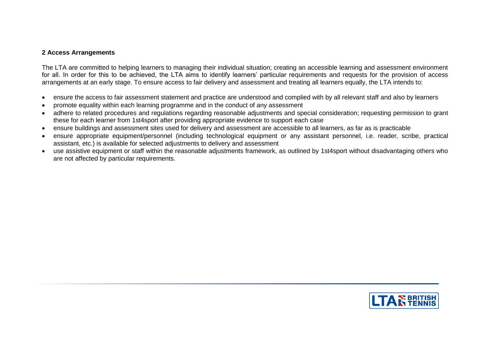### **2 Access Arrangements**

The LTA are committed to helping learners to managing their individual situation; creating an accessible learning and assessment environment for all. In order for this to be achieved, the LTA aims to identify learners' particular requirements and requests for the provision of access arrangements at an early stage. To ensure access to fair delivery and assessment and treating all learners equally, the LTA intends to:

- ensure the access to fair assessment statement and practice are understood and complied with by all relevant staff and also by learners
- promote equality within each learning programme and in the conduct of any assessment
- adhere to related procedures and regulations regarding reasonable adjustments and special consideration; requesting permission to grant these for each learner from 1st4sport after providing appropriate evidence to support each case
- ensure buildings and assessment sites used for delivery and assessment are accessible to all learners, as far as is practicable
- ensure appropriate equipment/personnel (including technological equipment or any assistant personnel, i.e. reader, scribe, practical assistant, etc.) is available for selected adjustments to delivery and assessment
- use assistive equipment or staff within the reasonable adjustments framework, as outlined by 1st4sport without disadvantaging others who are not affected by particular requirements.

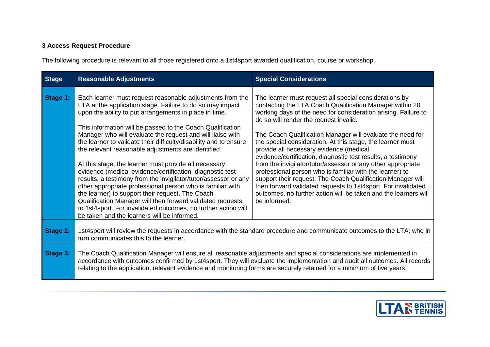# **3 Access Request Procedure**

The following procedure is relevant to all those registered onto a 1st4sport awarded qualification, course or workshop.

| <b>Stage</b> | <b>Reasonable Adjustments</b>                                                                                                                                                                                                                                                                                                                                                                                                                                                                                                                                                                                                                                                                                                                                                                                                                                                                                                      | <b>Special Considerations</b>                                                                                                                                                                                                                                                                                                                                                                                                                                                                                                                                                                                                                                                                                                                                                                                        |  |
|--------------|------------------------------------------------------------------------------------------------------------------------------------------------------------------------------------------------------------------------------------------------------------------------------------------------------------------------------------------------------------------------------------------------------------------------------------------------------------------------------------------------------------------------------------------------------------------------------------------------------------------------------------------------------------------------------------------------------------------------------------------------------------------------------------------------------------------------------------------------------------------------------------------------------------------------------------|----------------------------------------------------------------------------------------------------------------------------------------------------------------------------------------------------------------------------------------------------------------------------------------------------------------------------------------------------------------------------------------------------------------------------------------------------------------------------------------------------------------------------------------------------------------------------------------------------------------------------------------------------------------------------------------------------------------------------------------------------------------------------------------------------------------------|--|
| Stage 1:     | Each learner must request reasonable adjustments from the<br>LTA at the application stage. Failure to do so may impact<br>upon the ability to put arrangements in place in time.<br>This information will be passed to the Coach Qualification<br>Manager who will evaluate the request and will liaise with<br>the learner to validate their difficulty/disability and to ensure<br>the relevant reasonable adjustments are identified.<br>At this stage, the learner must provide all necessary<br>evidence (medical evidence/certification, diagnostic test<br>results, a testimony from the invigilator/tutor/assessor or any<br>other appropriate professional person who is familiar with<br>the learner) to support their request. The Coach<br>Qualification Manager will then forward validated requests<br>to 1st4sport. For invalidated outcomes, no further action will<br>be taken and the learners will be informed. | The learner must request all special considerations by<br>contacting the LTA Coach Qualification Manager within 20<br>working days of the need for consideration arising. Failure to<br>do so will render the request invalid.<br>The Coach Qualification Manager will evaluate the need for<br>the special consideration. At this stage, the learner must<br>provide all necessary evidence (medical<br>evidence/certification, diagnostic test results, a testimony<br>from the invigilator/tutor/assessor or any other appropriate<br>professional person who is familiar with the learner) to<br>support their request. The Coach Qualification Manager will<br>then forward validated requests to 1st4sport. For invalidated<br>outcomes, no further action will be taken and the learners will<br>be informed. |  |
| Stage 2:     | 1st4sport will review the requests in accordance with the standard procedure and communicate outcomes to the LTA; who in<br>turn communicates this to the learner.                                                                                                                                                                                                                                                                                                                                                                                                                                                                                                                                                                                                                                                                                                                                                                 |                                                                                                                                                                                                                                                                                                                                                                                                                                                                                                                                                                                                                                                                                                                                                                                                                      |  |
| Stage 3:     | The Coach Qualification Manager will ensure all reasonable adjustments and special considerations are implemented in<br>accordance with outcomes confirmed by 1st4sport. They will evaluate the implementation and audit all outcomes. All records<br>relating to the application, relevant evidence and monitoring forms are securely retained for a minimum of five years.                                                                                                                                                                                                                                                                                                                                                                                                                                                                                                                                                       |                                                                                                                                                                                                                                                                                                                                                                                                                                                                                                                                                                                                                                                                                                                                                                                                                      |  |